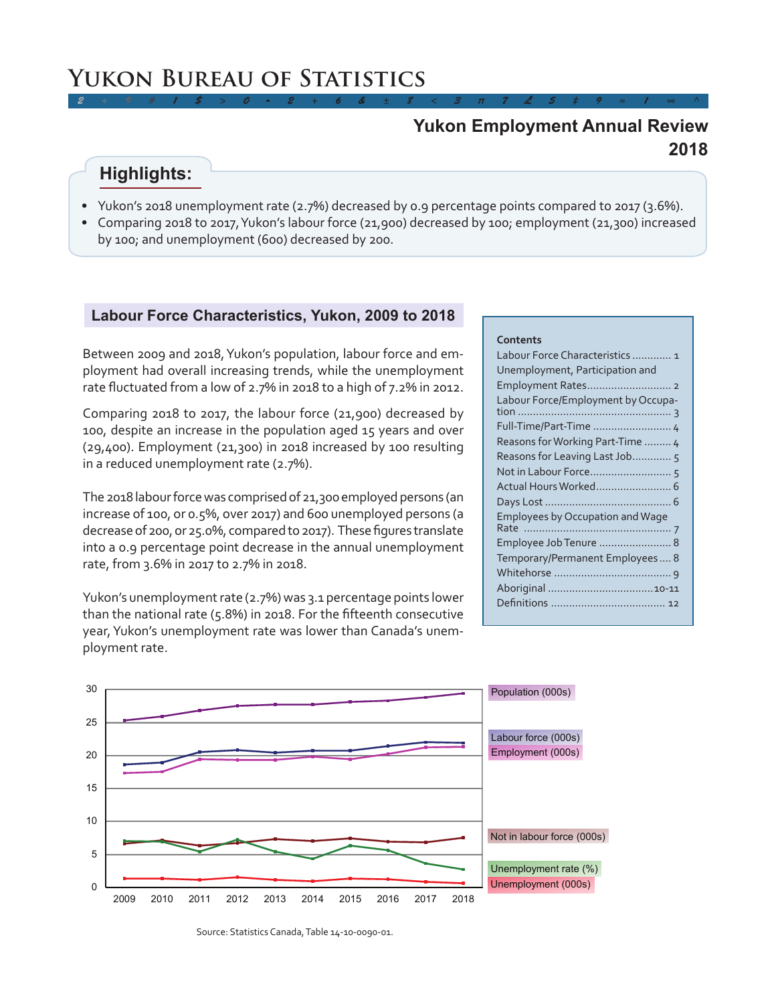# **Yukon Bureau of Statistics**

## **2018 Yukon Employment Annual Review**

# **Highlights:**

• Yukon's 2018 unemployment rate (2.7%) decreased by 0.9 percentage points compared to 2017 (3.6%).

*2 ÷ 9 # 1 \$ > 0 - 2 + 6 & ± 8 < 3 π 7 £ 5 ‡ 9 ≈ 1 ∞ ^*

• Comparing 2018 to 2017, Yukon's labour force (21,900) decreased by 100; employment (21,300) increased by 100; and unemployment (600) decreased by 200.

### **Labour Force Characteristics, Yukon, 2009 to 2018**

Between 2009 and 2018, Yukon's population, labour force and employment had overall increasing trends, while the unemployment rate fluctuated from a low of 2.7% in 2018 to a high of 7.2% in 2012.

Comparing 2018 to 2017, the labour force (21,900) decreased by 100, despite an increase in the population aged 15 years and over (29,400). Employment (21,300) in 2018 increased by 100 resulting in a reduced unemployment rate (2.7%).

The 2018 labour force was comprised of 21,300 employed persons (an increase of 100, or 0.5%, over 2017) and 600 unemployed persons (a decrease of 200, or 25.0%, compared to 2017). These figures translate into a 0.9 percentage point decrease in the annual unemployment rate, from 3.6% in 2017 to 2.7% in 2018.

Yukon's unemployment rate (2.7%) was 3.1 percentage points lower than the national rate (5.8%) in 2018. For the fifteenth consecutive year, Yukon's unemployment rate was lower than Canada's unemployment rate.

#### **Contents**

| Labour Force Characteristics  1         |
|-----------------------------------------|
| Unemployment, Participation and         |
| Employment Rates 2                      |
| Labour Force/Employment by Occupa-      |
| Full-Time/Part-Time  4                  |
| Reasons for Working Part-Time  4        |
| Reasons for Leaving Last Job 5          |
|                                         |
|                                         |
|                                         |
| <b>Employees by Occupation and Wage</b> |
|                                         |
| Employee Job Tenure  8                  |
| Temporary/Permanent Employees 8         |
|                                         |
|                                         |
|                                         |
|                                         |



Source: Statistics Canada, Table 14-10-0090-01.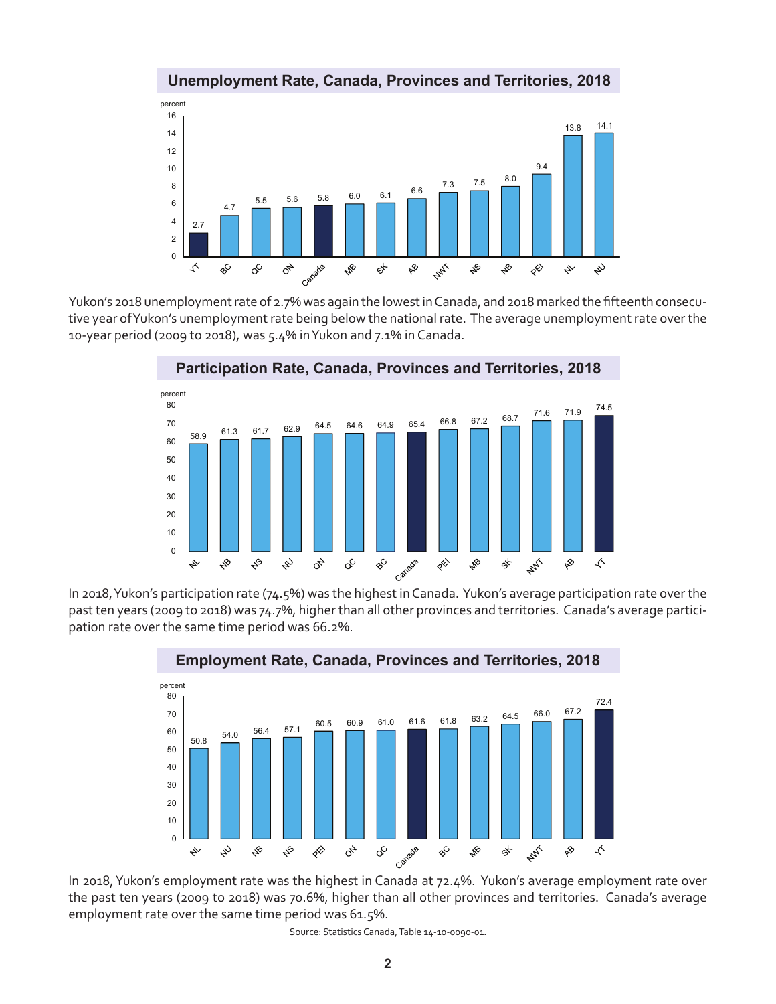

### **Unemployment Rate, Canada, Provinces and Territories, 2018**

Yukon's 2018 unemployment rate of 2.7% was again the lowest in Canada, and 2018 marked the fifteenth consecutive year of Yukon's unemployment rate being below the national rate. The average unemployment rate over the 10-year period (2009 to 2018), was 5.4% in Yukon and 7.1% in Canada.



**Participation Rate, Canada, Provinces and Territories, 2018**

In 2018, Yukon's participation rate (74.5%) was the highest in Canada. Yukon's average participation rate over the past ten years (2009 to 2018) was 74.7%, higher than all other provinces and territories. Canada's average participation rate over the same time period was 66.2%.



the past ten years (2009 to 2018) was 70.6%, higher than all other provinces and territories. Canada's average employment rate over the same time period was 61.5%.

Source: Statistics Canada, Table 14-10-0090-01.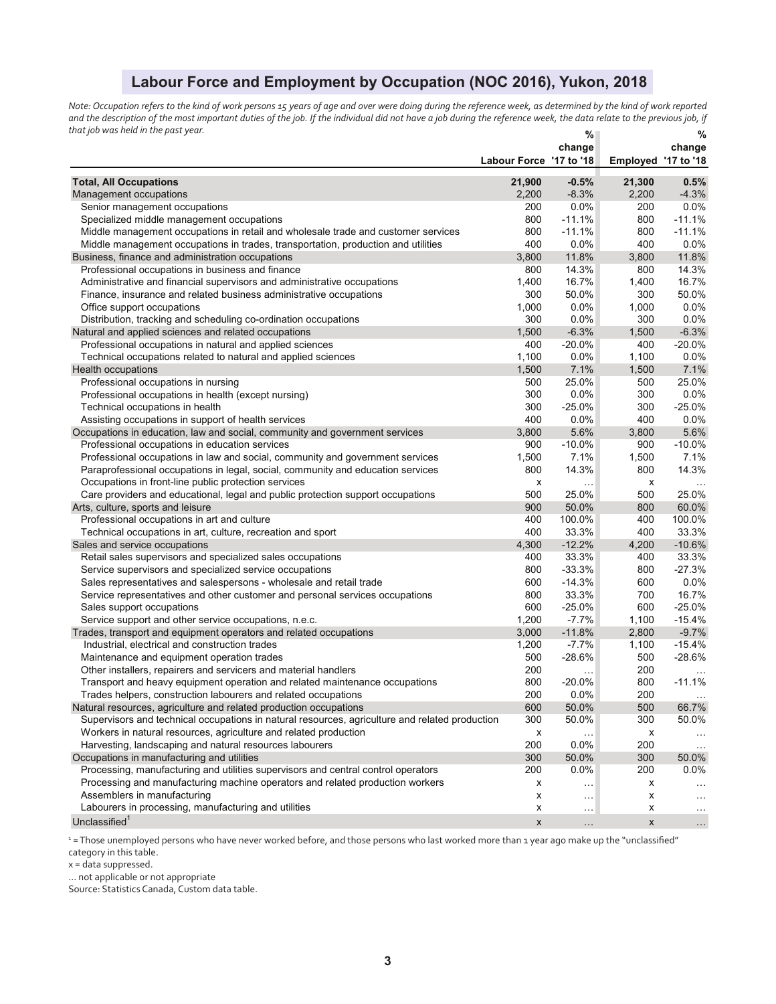### **Labour Force and Employment by Occupation (NOC 2016), Yukon, 2018**

*Note: Occupation refers to the kind of work persons 15 years of age and over were doing during the reference week, as determined by the kind of work reported and the description of the most important duties of the job. If the individual did not have a job during the reference week, the data relate to the previous job, if that job was held in the past year.* **% %** 

|                                                                                                | Labour Force '17 to '18 | 70<br>change                | Employed '17 to '18       | 70<br>change  |
|------------------------------------------------------------------------------------------------|-------------------------|-----------------------------|---------------------------|---------------|
| <b>Total, All Occupations</b>                                                                  | 21,900                  | $-0.5%$                     | 21,300                    | 0.5%          |
| Management occupations                                                                         | 2,200                   | $-8.3%$                     | 2,200                     | $-4.3%$       |
| Senior management occupations                                                                  | 200                     | 0.0%                        | 200                       | 0.0%          |
| Specialized middle management occupations                                                      | 800                     | $-11.1%$                    | 800                       | $-11.1%$      |
| Middle management occupations in retail and wholesale trade and customer services              | 800                     | $-11.1%$                    | 800                       | $-11.1%$      |
| Middle management occupations in trades, transportation, production and utilities              | 400                     | $0.0\%$                     | 400                       | 0.0%          |
| Business, finance and administration occupations                                               | 3,800                   | 11.8%                       | 3,800                     | 11.8%         |
| Professional occupations in business and finance                                               | 800                     | 14.3%                       | 800                       | 14.3%         |
| Administrative and financial supervisors and administrative occupations                        | 1,400                   | 16.7%                       | 1,400                     | 16.7%         |
| Finance, insurance and related business administrative occupations                             | 300                     | 50.0%                       | 300                       | 50.0%         |
| Office support occupations                                                                     | 1,000                   | 0.0%                        | 1,000                     | 0.0%          |
| Distribution, tracking and scheduling co-ordination occupations                                | 300                     | 0.0%                        | 300                       | 0.0%          |
| Natural and applied sciences and related occupations                                           | 1,500                   | $-6.3%$                     | 1,500                     | $-6.3%$       |
| Professional occupations in natural and applied sciences                                       | 400                     | $-20.0%$                    | 400                       | $-20.0%$      |
| Technical occupations related to natural and applied sciences                                  | 1,100                   | 0.0%                        | 1,100                     | 0.0%          |
| Health occupations                                                                             | 1,500                   | 7.1%                        | 1,500                     | 7.1%          |
| Professional occupations in nursing                                                            | 500                     | 25.0%                       | 500                       | 25.0%         |
| Professional occupations in health (except nursing)                                            | 300                     | 0.0%                        | 300                       | 0.0%          |
| Technical occupations in health                                                                | 300                     | $-25.0%$                    | 300                       | $-25.0%$      |
|                                                                                                | 400                     |                             | 400                       | 0.0%          |
| Assisting occupations in support of health services                                            |                         | $0.0\%$                     |                           |               |
| Occupations in education, law and social, community and government services                    | 3,800                   | 5.6%                        | 3,800                     | 5.6%          |
| Professional occupations in education services                                                 | 900                     | $-10.0\%$                   | 900                       | $-10.0\%$     |
| Professional occupations in law and social, community and government services                  | 1,500                   | 7.1%                        | 1,500                     | 7.1%          |
| Paraprofessional occupations in legal, social, community and education services                | 800                     | 14.3%                       | 800                       | 14.3%         |
| Occupations in front-line public protection services                                           | х                       | .                           | х                         |               |
| Care providers and educational, legal and public protection support occupations                | 500                     | 25.0%                       | 500                       | 25.0%         |
| Arts, culture, sports and leisure                                                              | 900                     | 50.0%                       | 800                       | 60.0%         |
| Professional occupations in art and culture                                                    | 400                     | 100.0%                      | 400                       | 100.0%        |
| Technical occupations in art, culture, recreation and sport                                    | 400                     | 33.3%                       | 400                       | 33.3%         |
| Sales and service occupations                                                                  | 4,300                   | $-12.2%$                    | 4,200                     | $-10.6%$      |
| Retail sales supervisors and specialized sales occupations                                     | 400                     | 33.3%                       | 400                       | 33.3%         |
| Service supervisors and specialized service occupations                                        | 800                     | $-33.3%$                    | 800                       | $-27.3%$      |
| Sales representatives and salespersons - wholesale and retail trade                            | 600                     | $-14.3%$                    | 600                       | 0.0%          |
| Service representatives and other customer and personal services occupations                   | 800                     | 33.3%                       | 700                       | 16.7%         |
| Sales support occupations                                                                      | 600                     | $-25.0%$                    | 600                       | $-25.0%$      |
| Service support and other service occupations, n.e.c.                                          | 1,200                   | $-7.7%$                     | 1,100                     | $-15.4%$      |
| Trades, transport and equipment operators and related occupations                              | 3,000                   | $-11.8%$                    | 2,800                     | $-9.7%$       |
| Industrial, electrical and construction trades                                                 | 1,200                   | $-7.7%$                     | 1,100                     | $-15.4%$      |
| Maintenance and equipment operation trades                                                     | 500                     | $-28.6%$                    | 500                       | $-28.6%$      |
| Other installers, repairers and servicers and material handlers                                | 200                     | $\cdots$                    | 200                       |               |
| Transport and heavy equipment operation and related maintenance occupations                    | 800                     | $-20.0\%$                   | 800                       | $-11.1%$      |
| Trades helpers, construction labourers and related occupations                                 | 200                     | $0.0\%$                     | 200                       |               |
| Natural resources, agriculture and related production occupations                              | 600                     | 50.0%                       | 500                       | 66.7%         |
| Supervisors and technical occupations in natural resources, agriculture and related production | 300                     | 50.0%                       | 300                       | 50.0%         |
| Workers in natural resources, agriculture and related production                               | х                       |                             | х                         | $\ldots$      |
| Harvesting, landscaping and natural resources labourers                                        | 200                     | 0.0%                        | 200                       | $\sim$ $\sim$ |
| Occupations in manufacturing and utilities                                                     | 300                     | 50.0%                       | 300                       | 50.0%         |
| Processing, manufacturing and utilities supervisors and central control operators              | 200                     | $0.0\%$                     | 200                       | 0.0%          |
| Processing and manufacturing machine operators and related production workers                  | х                       | $\ldots$                    | x                         | $\ddotsc$     |
| Assemblers in manufacturing                                                                    | х                       | $\mathcal{L}_{\mathcal{A}}$ | x                         | $\ddotsc$     |
| Labourers in processing, manufacturing and utilities                                           | х                       | $\ldots$                    | x                         | $\cdots$      |
| Unclassified <sup>1</sup>                                                                      | X                       | $\cdots$                    | $\boldsymbol{\mathsf{X}}$ | $\ldots$      |

1 = Those unemployed persons who have never worked before, and those persons who last worked more than 1 year ago make up the "unclassified" category in this table.

x = data suppressed.

... not applicable or not appropriate

Source: Statistics Canada, Custom data table.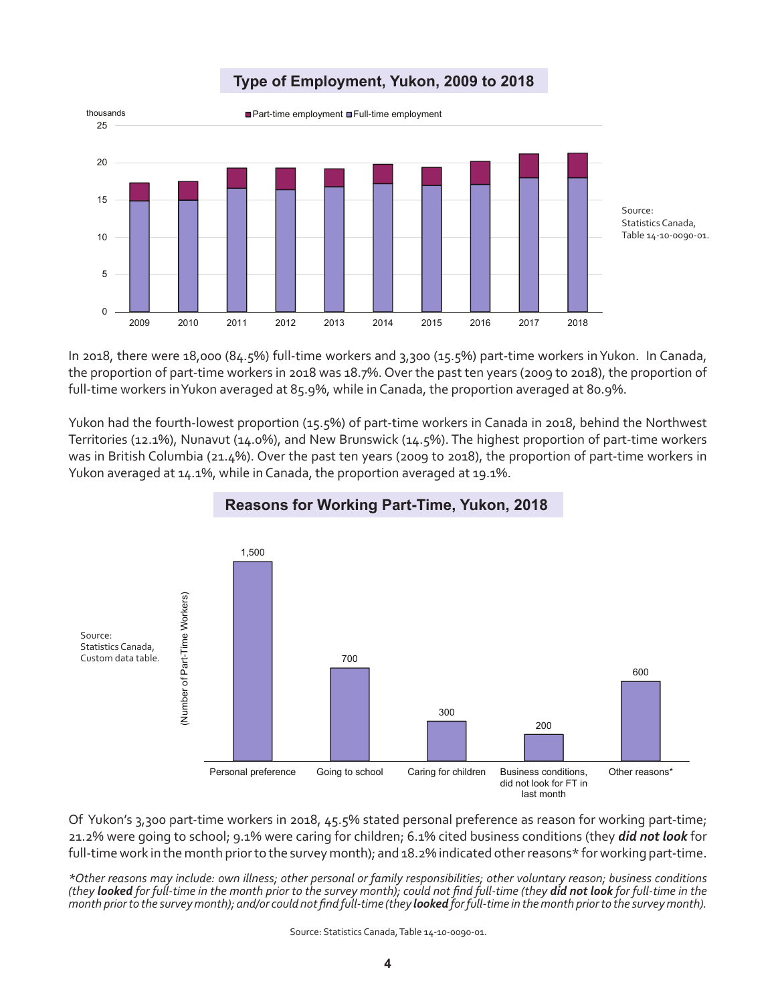

In 2018, there were 18,000 (84.5%) full-time workers and 3,300 (15.5%) part-time workers in Yukon. In Canada, the proportion of part-time workers in 2018 was 18.7%. Over the past ten years (2009 to 2018), the proportion of full-time workers in Yukon averaged at 85.9%, while in Canada, the proportion averaged at 80.9%.

Yukon had the fourth-lowest proportion (15.5%) of part-time workers in Canada in 2018, behind the Northwest Territories (12.1%), Nunavut (14.0%), and New Brunswick (14.5%). The highest proportion of part-time workers was in British Columbia (21.4%). Over the past ten years (2009 to 2018), the proportion of part-time workers in Yukon averaged at 14.1%, while in Canada, the proportion averaged at 19.1%.



### **Reasons for Working Part-Time, Yukon, 2018**

Of Yukon's 3,300 part-time workers in 2018, 45.5% stated personal preference as reason for working part-time; 21.2% were going to school; 9.1% were caring for children; 6.1% cited business conditions (they *did not look* for full-time work in the month prior to the survey month); and 18.2% indicated other reasons\* for working part-time.

*\*Other reasons may include: own illness; other personal or family responsibilities; other voluntary reason; business conditions (they looked for full-time in the month prior to the survey month); could not find full-time (they did not look for full-time in the month prior to the survey month); and/or could not find full-time (they looked for full-time in the month prior to the survey month).*

Source: Statistics Canada, Table 14-10-0090-01.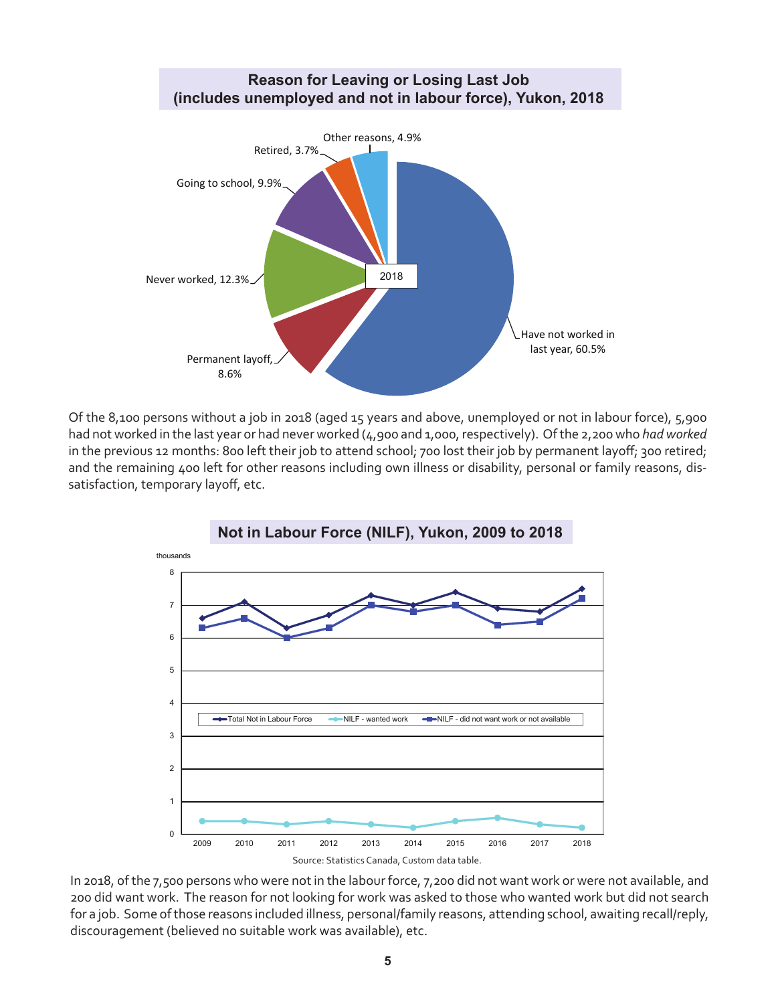

Of the 8,100 persons without a job in 2018 (aged 15 years and above, unemployed or not in labour force), 5,900 had not worked in the last year or had never worked (4,900 and 1,000, respectively). Of the 2,200 who *had worked*  in the previous 12 months: 800 left their job to attend school; 700 lost their job by permanent layoff; 300 retired; and the remaining 400 left for other reasons including own illness or disability, personal or family reasons, dissatisfaction, temporary layoff, etc.



In 2018, of the 7,500 persons who were not in the labour force, 7,200 did not want work or were not available, and 200 did want work. The reason for not looking for work was asked to those who wanted work but did not search for a job. Some of those reasons included illness, personal/family reasons, attending school, awaiting recall/reply, discouragement (believed no suitable work was available), etc.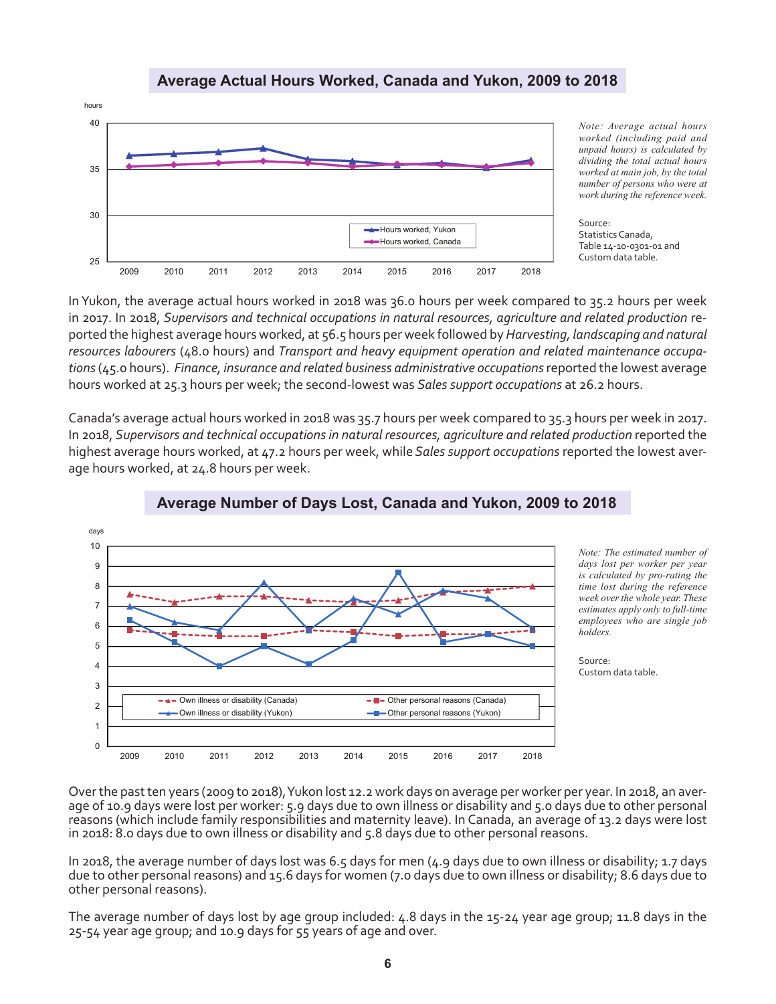### **Average Actual Hours Worked, Canada and Yukon, 2009 to 2018**



*Note: Average actual hours worked (including paid and unpaid hours) is calculated by dividing the total actual hours worked at main job, by the total number of persons who were at work during the reference week.*

Source: Statistics Canada, Table 14-10-0301-01 and Custom data table.

In Yukon, the average actual hours worked in 2018 was 36.0 hours per week compared to 35.2 hours per week in 2017. In 2018, *Supervisors and technical occupations in natural resources, agriculture and related production* reported the highest average hours worked, at 56.5 hours per week followed by *Harvesting, landscaping and natural resources labourers* (48.0 hours) and *Transport and heavy equipment operation and related maintenance occupations* (45.0 hours). *Finance, insurance and related business administrative occupations* reported the lowest average hours worked at 25.3 hours per week; the second-lowest was *Sales support occupations* at 26.2 hours.

Canada's average actual hours worked in 2018 was 35.7 hours per week compared to 35.3 hours per week in 2017. In 2018, *Supervisors and technical occupations in natural resources, agriculture and related production* reported the highest average hours worked, at 47.2 hours per week, while *Sales support occupations* reported the lowest average hours worked, at 24.8 hours per week.



**Average Number of Days Lost, Canada and Yukon, 2009 to 2018**

*Note: The estimated number of days lost per worker per year is calculated by pro-rating the time lost during the reference week over the whole year. These estimates apply only to full-time employees who are single job holders.*

Source: Custom data table.

Over the past ten years (2009 to 2018), Yukon lost 12.2 work days on average per worker per year. In 2018, an average of 10.9 days were lost per worker: 5.9 days due to own illness or disability and 5.0 days due to other personal reasons (which include family responsibilities and maternity leave). In Canada, an average of 13.2 days were lost in 2018: 8.0 days due to own illness or disability and 5.8 days due to other personal reasons.

In 2018, the average number of days lost was 6.5 days for men (4.9 days due to own illness or disability; 1.7 days due to other personal reasons) and 15.6 days for women (7.0 days due to own illness or disability; 8.6 days due to other personal reasons).

The average number of days lost by age group included: 4.8 days in the 15-24 year age group; 11.8 days in the 25-54 year age group; and 10.9 days for 55 years of age and over.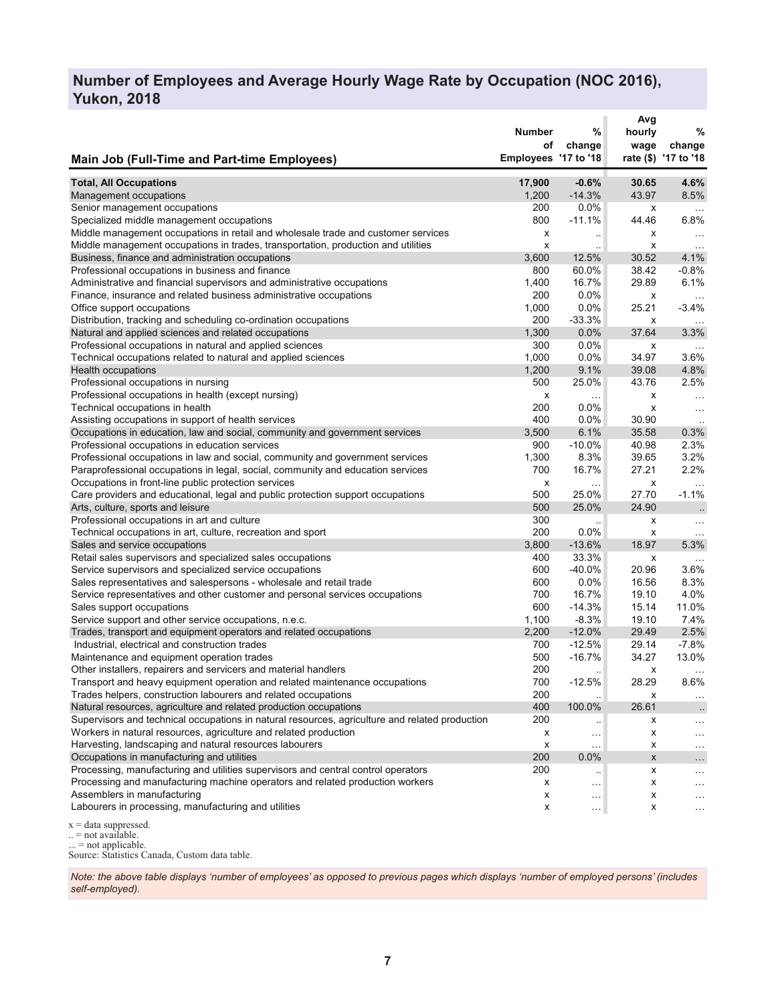### **Number of Employees and Average Hourly Wage Rate by Occupation (NOC 2016), Yukon, 2018**

|                                                                                                | Number<br>οf         | %<br>change          | Avg<br>hourly<br>wage | %<br>change          |
|------------------------------------------------------------------------------------------------|----------------------|----------------------|-----------------------|----------------------|
| <b>Main Job (Full-Time and Part-time Employees)</b>                                            | Employees '17 to '18 |                      |                       | rate (\$) '17 to '18 |
| <b>Total, All Occupations</b>                                                                  | 17,900               | $-0.6%$              | 30.65                 | 4.6%                 |
| Management occupations                                                                         | 1,200                | $-14.3%$             | 43.97                 | 8.5%                 |
| Senior management occupations                                                                  | 200                  | $0.0\%$              | х                     | $\ldots$             |
| Specialized middle management occupations                                                      | 800                  | $-11.1%$             | 44.46                 | 6.8%                 |
| Middle management occupations in retail and wholesale trade and customer services              | х                    | $\ddot{\phantom{0}}$ | х                     | $\ldots$             |
| Middle management occupations in trades, transportation, production and utilities              | x                    | $\sim$ $\sim$        | х                     | $\cdots$             |
| Business, finance and administration occupations                                               | 3,600                | 12.5%                | 30.52                 | 4.1%                 |
| Professional occupations in business and finance                                               | 800                  | 60.0%                | 38.42                 | $-0.8%$              |
| Administrative and financial supervisors and administrative occupations                        | 1,400                | 16.7%                | 29.89                 | 6.1%                 |
| Finance, insurance and related business administrative occupations                             | 200                  | $0.0\%$              | x                     | $\cdots$             |
| Office support occupations                                                                     | 1,000                | 0.0%                 | 25.21                 | $-3.4%$              |
| Distribution, tracking and scheduling co-ordination occupations                                | 200                  | $-33.3%$             | x                     |                      |
| Natural and applied sciences and related occupations                                           | 1,300                | 0.0%                 | 37.64                 | 3.3%                 |
| Professional occupations in natural and applied sciences                                       | 300                  | 0.0%                 | х                     |                      |
| Technical occupations related to natural and applied sciences                                  | 1,000                | 0.0%                 | 34.97                 | 3.6%                 |
| <b>Health occupations</b>                                                                      | 1,200                | 9.1%                 | 39.08                 | 4.8%                 |
| Professional occupations in nursing                                                            | 500                  | 25.0%                | 43.76                 | 2.5%                 |
| Professional occupations in health (except nursing)                                            | х                    | $\cdots$             | x                     | $\cdots$             |
| Technical occupations in health                                                                | 200                  | $0.0\%$              | x                     | $\sim$ $\sim$        |
| Assisting occupations in support of health services                                            | 400                  | 0.0%                 | 30.90                 |                      |
| Occupations in education, law and social, community and government services                    | 3,500                | 6.1%                 | 35.58                 | 0.3%                 |
| Professional occupations in education services                                                 | 900                  | $-10.0%$             | 40.98                 | 2.3%                 |
| Professional occupations in law and social, community and government services                  | 1,300                | 8.3%                 | 39.65                 | 3.2%                 |
| Paraprofessional occupations in legal, social, community and education services                | 700                  | 16.7%                | 27.21                 | 2.2%                 |
| Occupations in front-line public protection services                                           | х                    | $\sim$ $\sim$        | x                     | $\ddotsc$            |
| Care providers and educational, legal and public protection support occupations                | 500                  | 25.0%                | 27.70                 | $-1.1%$              |
| Arts, culture, sports and leisure                                                              | 500                  | 25.0%                | 24.90                 | $\ddotsc$            |
| Professional occupations in art and culture                                                    | 300                  | ä.                   | х                     | $\cdots$             |
| Technical occupations in art, culture, recreation and sport                                    | 200                  | $0.0\%$              | х                     | $\ddotsc$            |
| Sales and service occupations                                                                  | 3,800                | $-13.6%$             | 18.97                 | 5.3%                 |
| Retail sales supervisors and specialized sales occupations                                     | 400                  | 33.3%                | х                     | $\ddotsc$            |
| Service supervisors and specialized service occupations                                        | 600                  | $-40.0%$             | 20.96                 | 3.6%                 |
| Sales representatives and salespersons - wholesale and retail trade                            | 600                  | 0.0%                 | 16.56                 | 8.3%                 |
| Service representatives and other customer and personal services occupations                   | 700                  | 16.7%                | 19.10                 | 4.0%                 |
| Sales support occupations                                                                      | 600                  | $-14.3%$             | 15.14                 | 11.0%                |
| Service support and other service occupations, n.e.c.                                          | 1,100                | $-8.3%$              | 19.10                 | 7.4%                 |
| Trades, transport and equipment operators and related occupations                              | 2,200                | $-12.0%$             | 29.49                 | 2.5%                 |
| Industrial, electrical and construction trades                                                 | 700                  | $-12.5%$             | 29.14                 | $-7.8%$              |
| Maintenance and equipment operation trades                                                     | 500                  | $-16.7%$             | 34.27                 | 13.0%                |
| Other installers, repairers and servicers and material handlers                                | 200                  |                      | х                     |                      |
| Transport and heavy equipment operation and related maintenance occupations                    | 700                  | $-12.5%$             | 28.29                 | 8.6%                 |
| Trades helpers, construction labourers and related occupations                                 | 200                  | $\sim$               | х                     | $\cdots$             |
| Natural resources, agriculture and related production occupations                              | 400                  | 100.0%               | 26.61                 | $\ddotsc$            |
| Supervisors and technical occupations in natural resources, agriculture and related production | 200                  | $\ddotsc$            | х                     | $\cdots$             |
| Workers in natural resources, agriculture and related production                               | х                    | $\ldots$             | x                     | $\cdots$             |
| Harvesting, landscaping and natural resources labourers                                        | х                    | .                    | x                     | $\ddotsc$            |
| Occupations in manufacturing and utilities                                                     | 200                  | 0.0%                 | $\pmb{\mathsf{x}}$    | $\ldots$             |
| Processing, manufacturing and utilities supervisors and central control operators              | 200                  | $\ddotsc$            | x                     | .                    |
| Processing and manufacturing machine operators and related production workers                  | х                    | $\cdots$             | x                     | $\cdots$             |
| Assemblers in manufacturing                                                                    | х                    | $\ldots$             | x                     |                      |
| Labourers in processing, manufacturing and utilities                                           | х                    | $\sim$ $\sim$        | х                     | $\ldots$             |
|                                                                                                |                      |                      |                       |                      |

x = data suppressed.

.. = not available.

 $\ldots$  = not applicable.

Source: Statistics Canada, Custom data table.

*Note: the above table displays 'number of employees' as opposed to previous pages which displays 'number of employed persons' (includes self-employed).*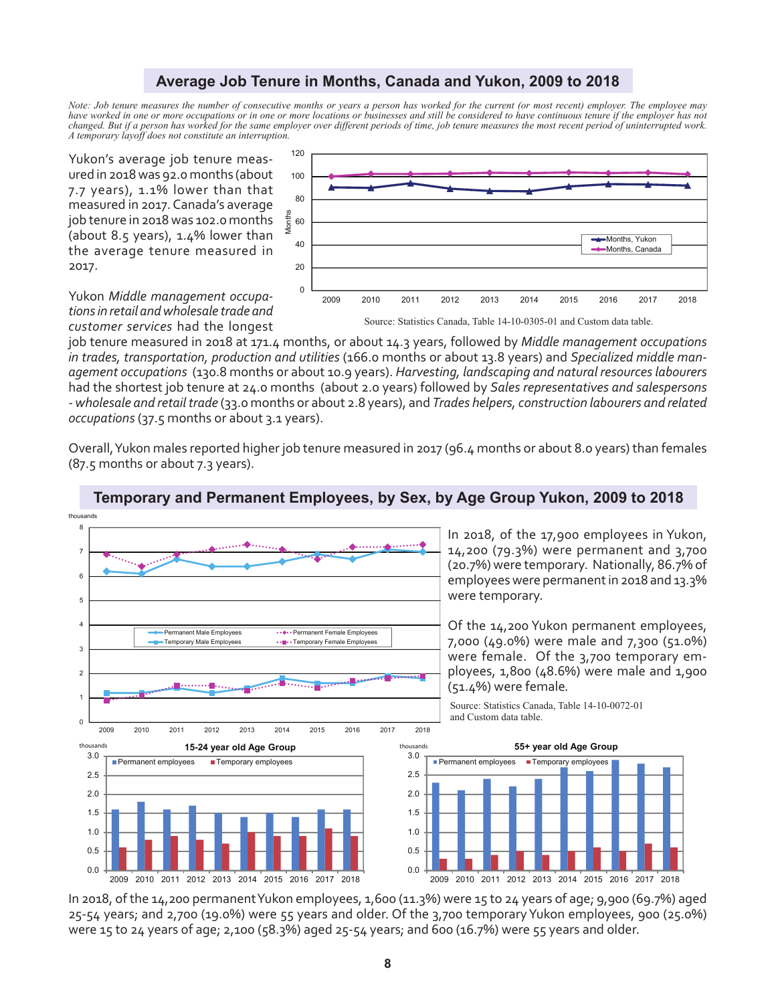### **Average Job Tenure in Months, Canada and Yukon, 2009 to 2018**

*Note: Job tenure measures the number of consecutive months or years a person has worked for the current (or most recent) employer. The employee may have worked in one or more occupations or in one or more locations or businesses and still be considered to have continuous tenure if the employer has not changed. But if a person has worked for the same employer over different periods of time, job tenure measures the most recent period of uninterrupted work. A temporary layoff does not constitute an interruption.*

Yukon's average job tenure measured in 2018 was 92.0 months (about 7.7 years), 1.1% lower than that measured in 2017. Canada's average job tenure in 2018 was 102.0 months (about 8.5 years), 1.4% lower than the average tenure measured in 2017.



Yukon *Middle management occupations in retail and wholesale trade and customer services* had the longest

job tenure measured in 2018 at 171.4 months, or about 14.3 years, followed by *Middle management occupations in trades, transportation, production and utilities* (166.0 months or about 13.8 years) and *Specialized middle management occupations* (130.8 months or about 10.9 years). *Harvesting, landscaping and natural resources labourers* had the shortest job tenure at 24.0 months (about 2.0 years) followed by *Sales representatives and salespersons - wholesale and retail trade* (33.0 months or about 2.8 years), and *Trades helpers, construction labourers and related occupations* (37.5 months or about 3.1 years).

Overall, Yukon males reported higher job tenure measured in 2017 (96.4 months or about 8.0 years) than females (87.5 months or about 7.3 years).



### **Temporary and Permanent Employees, by Sex, by Age Group Yukon, 2009 to 2018**

In 2018, of the 14,200 permanent Yukon employees, 1,600 (11.3%) were 15 to 24 years of age; 9,900 (69.7%) aged 25-54 years; and 2,700 (19.0%) were 55 years and older. Of the 3,700 temporary Yukon employees, 900 (25.0%) were 15 to 24 years of age; 2,100 (58.3%) aged 25-54 years; and 600 (16.7%) were 55 years and older.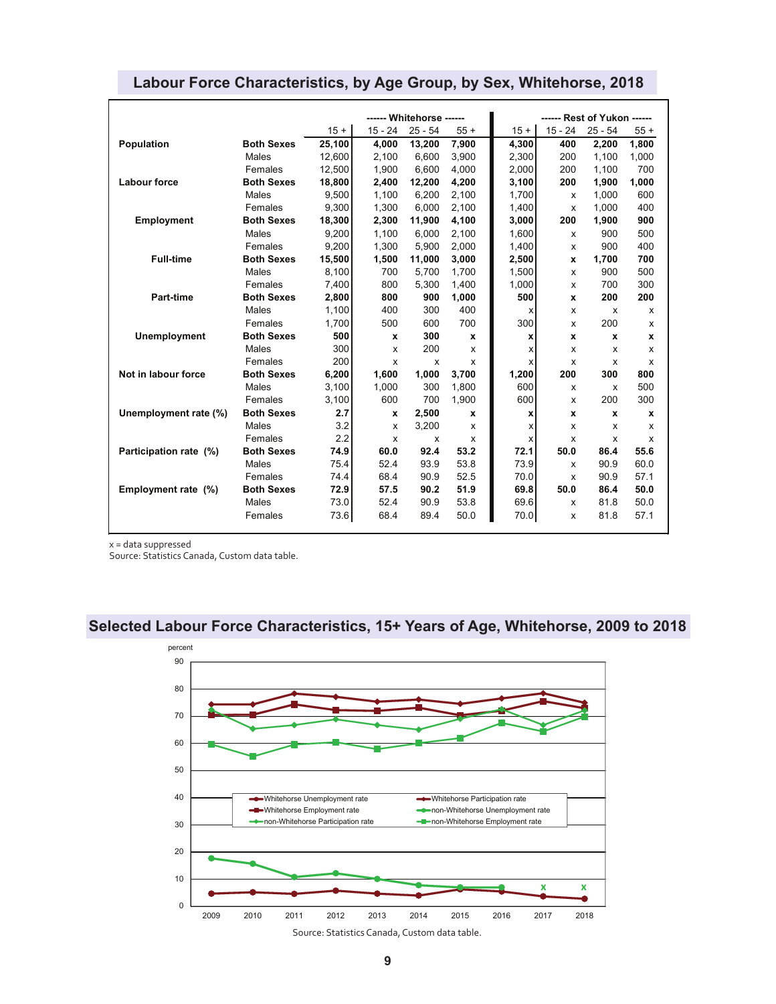|                        |                   |        | ------ Whitehorse ------ |           |       | ------ Rest of Yukon ------ |           |              |       |
|------------------------|-------------------|--------|--------------------------|-----------|-------|-----------------------------|-----------|--------------|-------|
|                        |                   | $15 +$ | $15 - 24$                | $25 - 54$ | $55+$ | $15 +$                      | $15 - 24$ | $25 - 54$    | $55+$ |
| Population             | <b>Both Sexes</b> | 25,100 | 4.000                    | 13,200    | 7,900 | 4.300                       | 400       | 2,200        | 1,800 |
|                        | Males             | 12.600 | 2.100                    | 6,600     | 3,900 | 2.300                       | 200       | 1,100        | 1,000 |
|                        | Females           | 12.500 | 1.900                    | 6.600     | 4,000 | 2.000                       | 200       | 1,100        | 700   |
| <b>Labour force</b>    | <b>Both Sexes</b> | 18,800 | 2,400                    | 12,200    | 4,200 | 3,100                       | 200       | 1,900        | 1,000 |
|                        | Males             | 9,500  | 1,100                    | 6,200     | 2,100 | 1.700                       | X         | 1,000        | 600   |
|                        | Females           | 9,300  | 1,300                    | 6,000     | 2,100 | 1,400                       | X         | 1,000        | 400   |
| Employment             | <b>Both Sexes</b> | 18,300 | 2,300                    | 11,900    | 4,100 | 3,000                       | 200       | 1,900        | 900   |
|                        | Males             | 9,200  | 1,100                    | 6,000     | 2,100 | 1,600                       | x         | 900          | 500   |
|                        | Females           | 9.200  | 1.300                    | 5.900     | 2,000 | 1.400                       | x         | 900          | 400   |
| <b>Full-time</b>       | <b>Both Sexes</b> | 15,500 | 1,500                    | 11,000    | 3,000 | 2,500                       | x         | 1,700        | 700   |
|                        | Males             | 8,100  | 700                      | 5,700     | 1,700 | 1,500                       | x         | 900          | 500   |
|                        | Females           | 7,400  | 800                      | 5,300     | 1,400 | 1.000                       | x         | 700          | 300   |
| Part-time              | <b>Both Sexes</b> | 2,800  | 800                      | 900       | 1,000 | 500                         | x         | 200          | 200   |
|                        | Males             | 1,100  | 400                      | 300       | 400   | x                           | x         | x            | x     |
|                        | Females           | 1,700  | 500                      | 600       | 700   | 300                         | x         | 200          | x     |
| <b>Unemployment</b>    | <b>Both Sexes</b> | 500    | X                        | 300       | x     | x                           | x         | X            | x     |
|                        | Males             | 300    | X                        | 200       | x     | X                           | x         | x            | X     |
|                        | Females           | 200    | x                        | X         | x     | x                           | x         | x            | x     |
| Not in labour force    | <b>Both Sexes</b> | 6,200  | 1,600                    | 1,000     | 3,700 | 1,200                       | 200       | 300          | 800   |
|                        | Males             | 3,100  | 1,000                    | 300       | 1,800 | 600                         | x         | x            | 500   |
|                        | Females           | 3,100  | 600                      | 700       | 1.900 | 600                         | x         | 200          | 300   |
| Unemployment rate (%)  | <b>Both Sexes</b> | 2.7    | $\mathbf{x}$             | 2,500     | x     | x                           | x         | $\mathbf{x}$ | x     |
|                        | Males             | 3.2    | x                        | 3,200     | x     | x                           | X         | x            | x     |
|                        | Females           | 2.2    | X                        | X         | x     | X                           | x         | X            | x     |
| Participation rate (%) | <b>Both Sexes</b> | 74.9   | 60.0                     | 92.4      | 53.2  | 72.1                        | 50.0      | 86.4         | 55.6  |
|                        | Males             | 75.4   | 52.4                     | 93.9      | 53.8  | 73.9                        | x         | 90.9         | 60.0  |
|                        | Females           | 74.4   | 68.4                     | 90.9      | 52.5  | 70.0                        | X         | 90.9         | 57.1  |
| Employment rate (%)    | <b>Both Sexes</b> | 72.9   | 57.5                     | 90.2      | 51.9  | 69.8                        | 50.0      | 86.4         | 50.0  |
|                        | Males             | 73.0   | 52.4                     | 90.9      | 53.8  | 69.6                        | x         | 81.8         | 50.0  |
|                        | Females           | 73.6   | 68.4                     | 89.4      | 50.0  | 70.0                        | x         | 81.8         | 57.1  |

### **Labour Force Characteristics, by Age Group, by Sex, Whitehorse, 2018**

x = data suppressed

Source: Statistics Canada, Custom data table.

### **Selected Labour Force Characteristics, 15+ Years of Age, Whitehorse, 2009 to 2018**

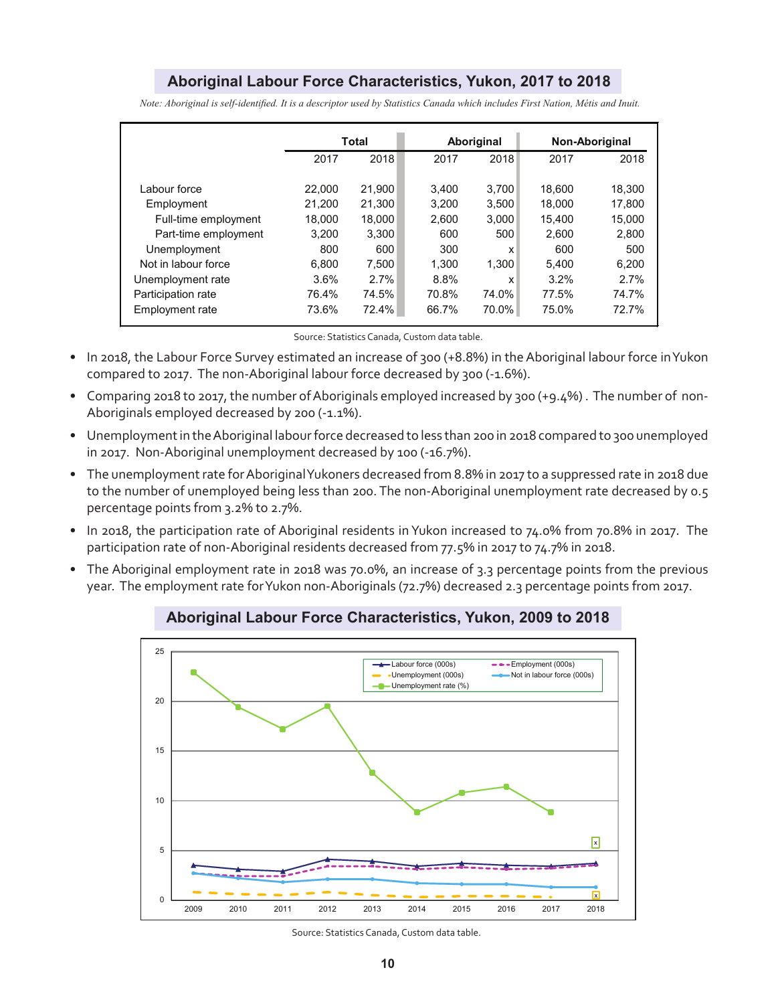### **Aboriginal Labour Force Characteristics, Yukon, 2017 to 2018**

|                      |        | Total  |       | Aboriginal | Non-Aboriginal |        |
|----------------------|--------|--------|-------|------------|----------------|--------|
|                      | 2017   | 2018   | 2017  | 2018       | 2017           | 2018   |
|                      |        |        |       |            |                |        |
| Labour force         | 22,000 | 21,900 | 3.400 | 3.700      | 18.600         | 18,300 |
| Employment           | 21.200 | 21.300 | 3.200 | 3.500      | 18,000         | 17.800 |
| Full-time employment | 18.000 | 18,000 | 2.600 | 3.000      | 15.400         | 15.000 |
| Part-time employment | 3.200  | 3.300  | 600   | 500        | 2.600          | 2,800  |
| Unemployment         | 800    | 600    | 300   | x          | 600            | 500    |
| Not in labour force  | 6,800  | 7,500  | 1.300 | 1.300      | 5.400          | 6,200  |
| Unemployment rate    | 3.6%   | 2.7%   | 8.8%  | x          | 3.2%           | 2.7%   |
| Participation rate   | 76.4%  | 74.5%  | 70.8% | 74.0%      | 77.5%          | 74.7%  |
| Employment rate      | 73.6%  | 72.4%  | 66.7% | 70.0%      | 75.0%          | 72.7%  |

*Note: Aboriginal is self-identified. It is a descriptor used by Statistics Canada which includes First Nation, Métis and Inuit.*

Source: Statistics Canada, Custom data table.

- In 2018, the Labour Force Survey estimated an increase of 300 (+8.8%) in the Aboriginal labour force in Yukon compared to 2017. The non-Aboriginal labour force decreased by 300 (-1.6%).
- Comparing 2018 to 2017, the number of Aboriginals employed increased by 300 (+9.4%) . The number of non-Aboriginals employed decreased by 200 (-1.1%).
- Unemployment in the Aboriginal labour force decreased to less than 200 in 2018 compared to 300 unemployed in 2017. Non-Aboriginal unemployment decreased by 100 (-16.7%).
- The unemployment rate for Aboriginal Yukoners decreased from 8.8% in 2017 to a suppressed rate in 2018 due to the number of unemployed being less than 200. The non-Aboriginal unemployment rate decreased by 0.5 percentage points from 3.2% to 2.7%.
- In 2018, the participation rate of Aboriginal residents in Yukon increased to 74.0% from 70.8% in 2017. The participation rate of non-Aboriginal residents decreased from 77.5% in 2017 to 74.7% in 2018.
- The Aboriginal employment rate in 2018 was 70.0%, an increase of 3.3 percentage points from the previous year. The employment rate for Yukon non-Aboriginals (72.7%) decreased 2.3 percentage points from 2017.



### **Aboriginal Labour Force Characteristics, Yukon, 2009 to 2018**

Source: Statistics Canada, Custom data table.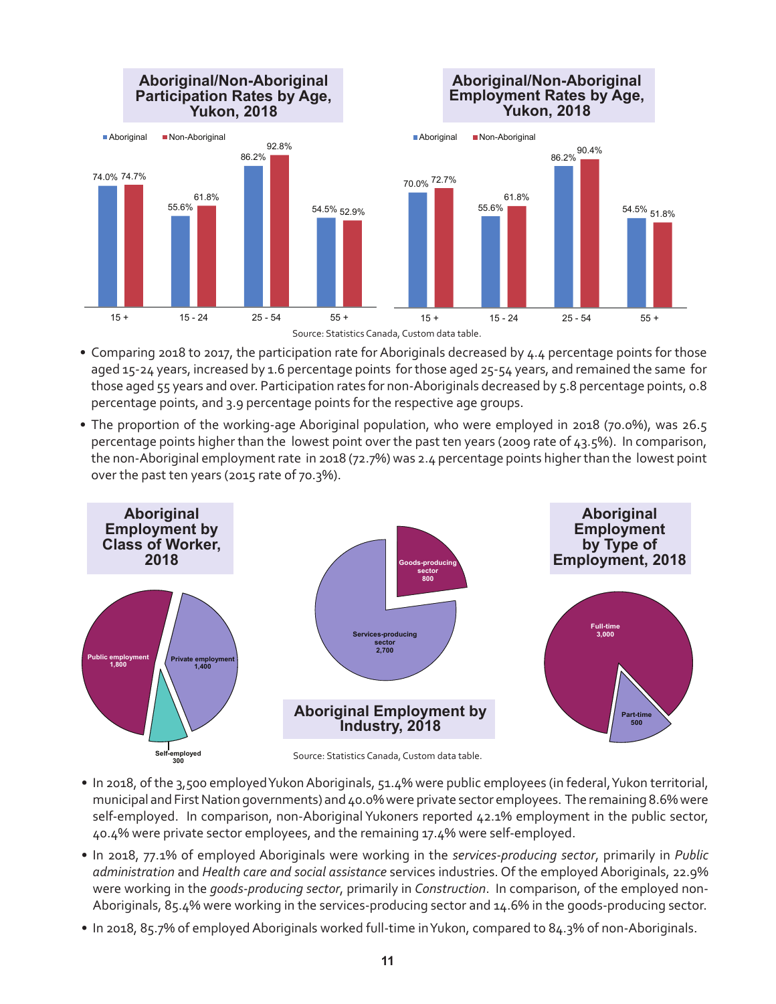

- Comparing 2018 to 2017, the participation rate for Aboriginals decreased by 4.4 percentage points for those aged 15-24 years, increased by 1.6 percentage points for those aged 25-54 years, and remained the same for those aged 55 years and over. Participation rates for non-Aboriginals decreased by 5.8 percentage points, 0.8 percentage points, and 3.9 percentage points for the respective age groups.
- The proportion of the working-age Aboriginal population, who were employed in 2018 (70.0%), was 26.5 percentage points higher than the lowest point over the past ten years (2009 rate of 43.5%). In comparison, the non-Aboriginal employment rate in 2018 (72.7%) was 2.4 percentage points higher than the lowest point over the past ten years (2015 rate of 70.3%).



- In 2018, of the 3,500 employed Yukon Aboriginals, 51.4% were public employees (in federal, Yukon territorial,
- municipal and First Nation governments) and 40.0% were private sector employees. The remaining 8.6% were self-employed. In comparison, non-Aboriginal Yukoners reported 42.1% employment in the public sector, 40.4% were private sector employees, and the remaining 17.4% were self-employed.
- In 2018, 77.1% of employed Aboriginals were working in the *services-producing sector*, primarily in *Public administration* and *Health care and social assistance* services industries. Of the employed Aboriginals, 22.9% were working in the *goods-producing sector*, primarily in *Construction*. In comparison, of the employed non-Aboriginals, 85.4% were working in the services-producing sector and 14.6% in the goods-producing sector.
- In 2018, 85.7% of employed Aboriginals worked full-time in Yukon, compared to 84.3% of non-Aboriginals.